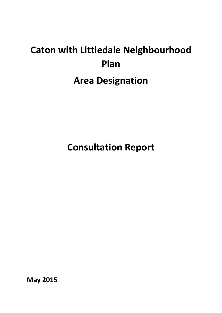# **Caton with Littledale Neighbourhood Plan Area Designation**

**Consultation Report**

**May 2015**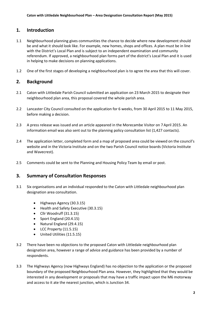### **1. Introduction**

- 1.1 Neighbourhood planning gives communities the chance to decide where new development should be and what it should look like. For example, new homes, shops and offices. A plan must be in line with the District's Local Plan and is subject to an independent examination and community referendum. If approved, a neighbourhood plan forms part of the district's Local Plan and it is used in helping to make decisions on planning applications.
- 1.2 One of the first stages of developing a neighbourhood plan is to agree the area that this will cover.

## **2. Background**

- 2.1 Caton with Littledale Parish Council submitted an application on 23 March 2015 to designate their neighbourhood plan area, this proposal covered the whole parish area.
- 2.2 Lancaster City Council consulted on the application for 6 weeks, from 30 April 2015 to 11 May 2015, before making a decision.
- 2.3 A press release was issued and an article appeared in the Morecambe Visitor on 7 April 2015. An information email was also sent out to the planning policy consultation list (1,427 contacts).
- 2.4 The application letter, completed form and a map of proposed area could be viewed on the council's website and in the Victoria Institute and on the two Parish Council notice boards (Victoria Institute and Wavecrest).
- 2.5 Comments could be sent to the Planning and Housing Policy Team by email or post.

### **3. Summary of Consultation Responses**

- 3.1 Six organisations and an individual responded to the Caton with Littledale neighbourhood plan designation area consultation.
	- Highways Agency (30.3.15)
	- Health and Safety Executive (30.3.15)
	- Cllr Woodruff (31.3.15)
	- $\bullet$  Sport England (20.4.15)
	- Natural England (29.4.15)
	- LCC Property (11.5.15)
	- United Utilities (11.5.15)
- 3.2 There have been no objections to the proposed Caton with Littledale neighbourhood plan designation area, however a range of advice and guidance has been provided by a number of respondents.
- 3.3 The Highways Agency (now Highways England) has no objection to the application or the proposed boundary of the proposed Neighbourhood Plan area. However, they highlighted that they would be interested in any development or proposals that may have a traffic impact upon the M6 motorway and access to it ate the nearest junction, which is Junction 34.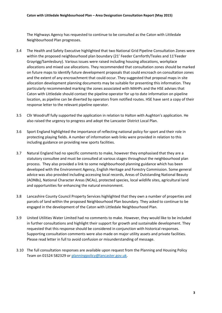The Highways Agency has requested to continue to be consulted as the Caton with Littledale Neighbourhood Plan progresses.

- 3.4 The Health and Safety Executive highlighted that two National Grid Pipeline Consultation Zones were within the proposed neighbourhood plan boundary (21' Feeder Carnforth/Teales and 11'Feeder Grayrigg/Samlesbury). Various issues were raised including housing allocations, workplace allocations and mixed use allocations. They recommended that consultation zones should be marked on future maps to identify future development proposals that could encroach on consultation zones and the extent of any encroachment that could occur. They suggested that proposal maps in site allocation development planning documents may be suitable for presenting this information. They particularly recommended marking the zones associated with MAHPs and the HSE advises that Caton with Littledale should contact the pipeline operator for up to date information on pipeline location, as pipeline can be diverted by operators from notified routes. HSE have sent a copy of their response letter to the relevant pipeline operator.
- 3.5 Cllr Woodruff fully supported the application in relation to Halton with Aughton's application. He also raised the urgency to progress and adopt the Lancaster District Local Plan.
- 3.6 Sport England highlighted the importance of reflecting national policy for sport and their role in protecting playing fields. A number of information web links were provided in relation to this including guidance on providing new sports facilities.
- 3.7 Natural England had no specific comments to make, however they emphasised that they are a statutory consultee and must be consulted at various stages throughout the neighbourhood plan process. They also provided a link to some neighbourhood planning guidance which has been developed with the Environment Agency, English Heritage and Forestry Commission. Some general advice was also provided including accessing local records, Areas of Outstanding National Beauty (AONBs), National Character Areas (NCAs), protected species, local wildlife sites, agricultural land and opportunities for enhancing the natural environment.
- 3.8 Lancashire County Council Property Services highlighted that they own a number of properties and parcels of land within the proposed Neighbourhood Plan boundary. They asked to continue to be engaged in the development of the Caton with Littledale Neighbourhood Plan.
- 3.9 United Utilities Water Limited had no comments to make. However, they would like to be included in further consultations and highlight their support for growth and sustainable development. They requested that this response should be considered in conjunction with historical responses. Supporting consultation comments were also made on major utility assets and private facilities. Please read letter in full to avoid confusion or misunderstanding of message.
- 3.10 The full consultation responses are available upon request from the Planning and Housing Policy Team on 01524 582329 or [planningpolicy@lancaster.gov.uk.](mailto:planningpolicy@lancaster.gov.uk)